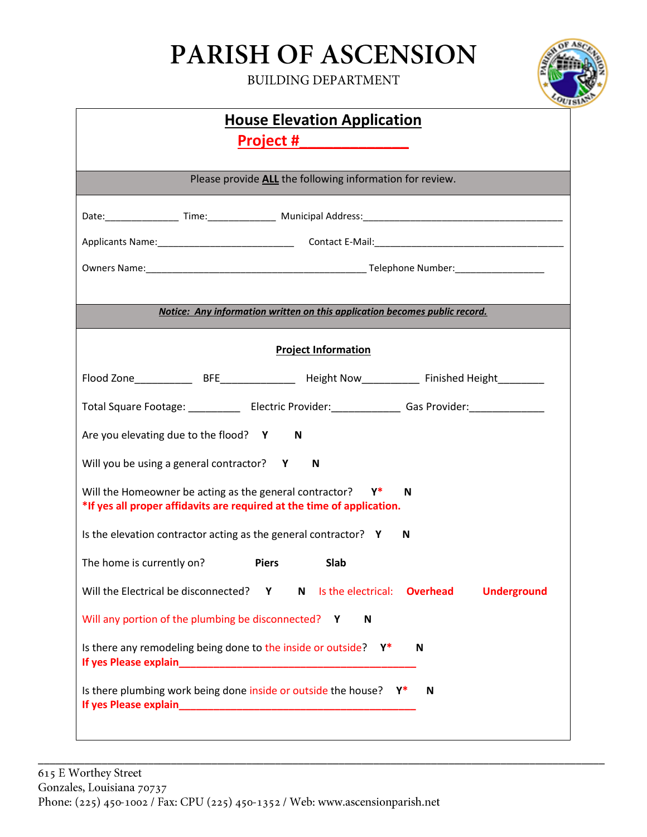## **PARISH OF ASCENSION**

**BUILDING DEPARTMENT**